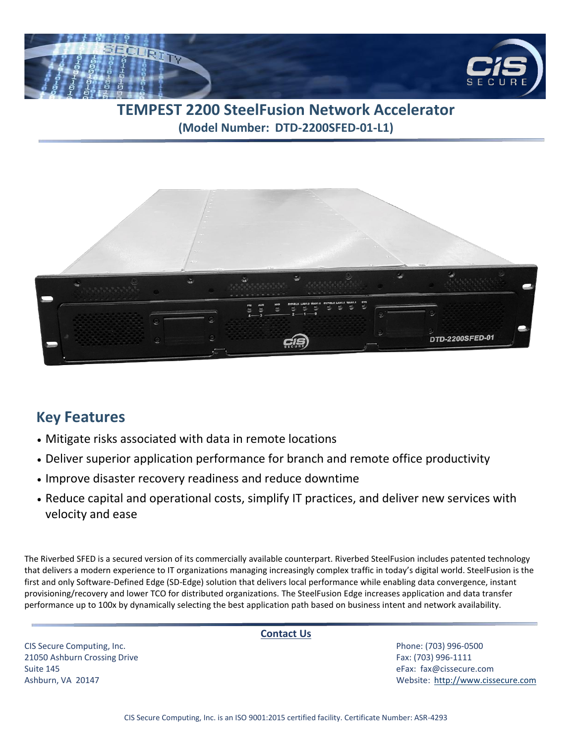

## **TEMPEST 2200 SteelFusion Network Accelerator (Model Number: DTD-2200SFED-01-L1)**



## **Key Features**

- Mitigate risks associated with data in remote locations
- Deliver superior application performance for branch and remote office productivity
- Improve disaster recovery readiness and reduce downtime
- Reduce capital and operational costs, simplify IT practices, and deliver new services with velocity and ease

The Riverbed SFED is a secured version of its commercially available counterpart. Riverbed SteelFusion includes patented technology that delivers a modern experience to IT organizations managing increasingly complex traffic in today's digital world. SteelFusion is the first and only Software-Defined Edge (SD-Edge) solution that delivers local performance while enabling data convergence, instant provisioning/recovery and lower TCO for distributed organizations. The SteelFusion Edge increases application and data transfer performance up to 100x by dynamically selecting the best application path based on business intent and network availability.

CIS Secure Computing, Inc. Phone: (703) 996-0500 21050 Ashburn Crossing Drive Fax: (703) 996-1111 Suite 145 eFax: [fax@cissecure.com](mailto:fax@cissecure.com)

**Contact Us**

Ashburn, VA 20147 Website: [http://www.cissecure.com](http://www.cissecure.com/)